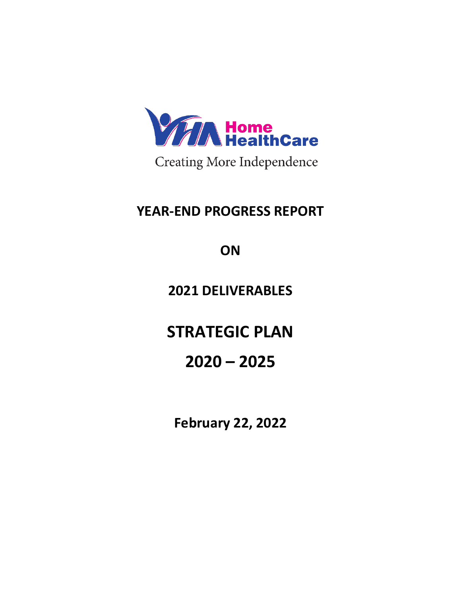

**Creating More Independence** 

# **YEAR-END PROGRESS REPORT**

**ON**

**2021 DELIVERABLES**

**STRATEGIC PLAN**

# **2020 – 2025**

**February 22, 2022**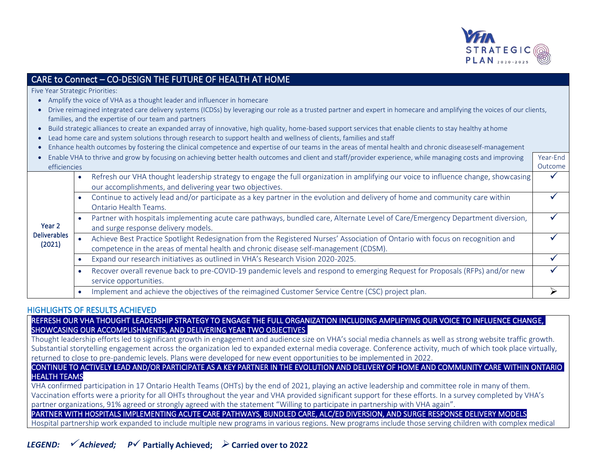

## CARE to Connect – CO-DESIGN THE FUTURE OF HEALTH AT HOME

Five Year Strategic Priorities:

- Amplify the voice of VHA as a thought leader and influencer in homecare
- Drive reimagined integrated care delivery systems (ICDSs) by leveraging our role as a trusted partner and expert in homecare and amplifying the voices of our clients, families, and the expertise of our team and partners
- Build strategic alliances to create an expanded array of innovative, high quality, home-based support services that enable clients to stay healthy athome
- Lead home care and system solutions through research to support health and wellness of clients, families and staff
- Enhance health outcomes by fostering the clinical competence and expertise of our teams in the areas of mental health and chronic diseaseself-management

|              | Enable VHA to thrive and grow by focusing on achieving better health outcomes and client and staff/provider experience, while managing costs and improving |                                                                                                                                                                                                 |  |
|--------------|------------------------------------------------------------------------------------------------------------------------------------------------------------|-------------------------------------------------------------------------------------------------------------------------------------------------------------------------------------------------|--|
| efficiencies |                                                                                                                                                            |                                                                                                                                                                                                 |  |
|              |                                                                                                                                                            | Refresh our VHA thought leadership strategy to engage the full organization in amplifying our voice to influence change, showcasing<br>our accomplishments, and delivering year two objectives. |  |
|              |                                                                                                                                                            | Continue to actively lead and/or participate as a key partner in the evolution and delivery of home and community care within<br>Ontario Health Teams.                                          |  |
|              |                                                                                                                                                            | the contract of the contract of the contract of the contract of the contract of the contract of the contract of                                                                                 |  |

#### Year 2 Deliverables • Partner with hospitals implementing acute care pathways, bundled care, Alternate Level of Care/Emergency Department diversion, and surge response delivery models. ✓

#### (2021) • Achieve Best Practice Spotlight Redesignation from the Registered Nurses' Association of Ontario with focus on recognition and competence in the areas of mental health and chronic disease self-management (CDSM). ✓

- Expand our research initiatives as outlined in VHA's Research Vision 2020-2025. ✓
- Recover overall revenue back to pre-COVID-19 pandemic levels and respond to emerging Request for Proposals (RFPs) and/or new service opportunities. ✓
- Implement and achieve the objectives of the reimagined Customer Service Centre (CSC) project plan.

#### HIGHLIGHTS OF RESULTS ACHIEVED

#### REFRESH OUR VHA THOUGHT LEADERSHIP STRATEGY TO ENGAGE THE FULL ORGANIZATION INCLUDING AMPLIFYING OUR VOICE TO INFLUENCE CHANGE, SHOWCASING OUR ACCOMPLISHMENTS, AND DELIVERING YEAR TWO OBJECTIVES

Thought leadership efforts led to significant growth in engagement and audience size on VHA's social media channels as well as strong website traffic growth. Substantial storytelling engagement across the organization led to expanded external media coverage. Conference activity, much of which took place virtually, returned to close to pre-pandemic levels. Plans were developed for new event opportunities to be implemented in 2022.

#### CONTINUE TO ACTIVELY LEAD AND/OR PARTICIPATE AS A KEY PARTNER IN THE EVOLUTION AND DELIVERY OF HOME AND COMMUNITY CARE WITHIN ONTARIO HEALTH TEAMS

VHA confirmed participation in 17 Ontario Health Teams (OHTs) by the end of 2021, playing an active leadership and committee role in many of them. Vaccination efforts were a priority for all OHTs throughout the year and VHA provided significant support for these efforts. In a survey completed by VHA's partner organizations, 91% agreed or strongly agreed with the statement "Willing to participate in partnership with VHA again".

PARTNER WITH HOSPITALS IMPLEMENTING ACUTE CARE PATHWAYS, BUNDLED CARE, ALC/ED DIVERSION, AND SURGE RESPONSE DELIVERY MODELS

Hospital partnership work expanded to include multiple new programs in various regions. New programs include those serving children with complex medical

*LEGEND:* ✓ *Achieved; P*✓ **Partially Achieved;** ➢ **Carried over to 2022**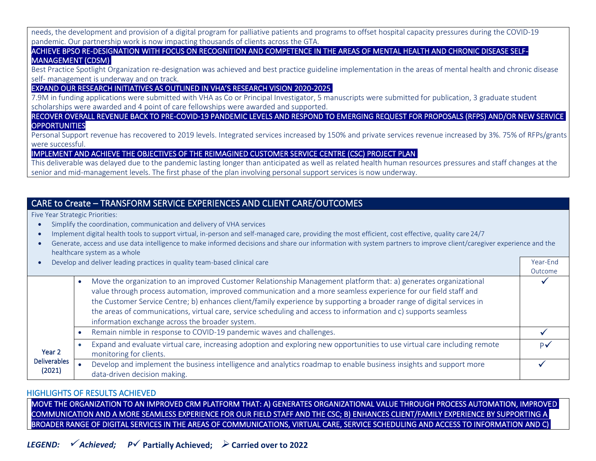needs, the development and provision of a digital program for palliative patients and programs to offset hospital capacity pressures during the COVID-19 pandemic. Our partnership work is now impacting thousands of clients across the GTA.

#### ACHIEVE BPSO RE-DESIGNATION WITH FOCUS ON RECOGNITION AND COMPETENCE IN THE AREAS OF MENTAL HEALTH AND CHRONIC DISEASE SELF-MANAGEMENT (CDSM)

Best Practice Spotlight Organization re-designation was achieved and best practice guideline implementation in the areas of mental health and chronic disease self- management is underway and on track.

#### EXPAND OUR RESEARCH INITIATIVES AS OUTLINED IN VHA'S RESEARCH VISION 2020-2025

7.9M in funding applications were submitted with VHA as Co or Principal Investigator, 5 manuscripts were submitted for publication, 3 graduate student scholarships were awarded and 4 point of care fellowships were awarded and supported.

RECOVER OVERALL REVENUE BACK TO PRE-COVID-19 PANDEMIC LEVELS AND RESPOND TO EMERGING REQUEST FOR PROPOSALS (RFPS) AND/OR NEW SERVICE **OPPORTUNITIES** 

Personal Support revenue has recovered to 2019 levels. Integrated services increased by 150% and private services revenue increased by 3%. 75% of RFPs/grants were successful.

#### IMPLEMENT AND ACHIEVE THE OBJECTIVES OF THE REIMAGINED CUSTOMER SERVICE CENTRE (CSC) PROJECT PLAN

This deliverable was delayed due to the pandemic lasting longer than anticipated as well as related health human resources pressures and staff changes at the senior and mid-management levels. The first phase of the plan involving personal support services is now underway.

## CARE to Create – TRANSFORM SERVICE EXPERIENCES AND CLIENT CARE/OUTCOMES

Five Year Strategic Priorities:

- Simplify the coordination, communication and delivery of VHA services
- Implement digital health tools to support virtual, in-person and self-managed care, providing the most efficient, cost effective, quality care 24/7

| Generate, access and use data intelligence to make informed decisions and share our information with system partners to improve client/caregiver experience and the |
|---------------------------------------------------------------------------------------------------------------------------------------------------------------------|
| healthcare system as a whole                                                                                                                                        |

• Develop and deliver leading practices in quality team-based clinical care Year-End Number 2012 12:30 Number 2012 12:30 Number 2013 12:30 Number 2013 12:30 Number 2013 12:30 Number 2013 12:30 Number 2013 12:30 Number 2013

|                               |                                                                                                                                                                                                                                                                                                                                                                                                                                                                                                                                      | Outcome |
|-------------------------------|--------------------------------------------------------------------------------------------------------------------------------------------------------------------------------------------------------------------------------------------------------------------------------------------------------------------------------------------------------------------------------------------------------------------------------------------------------------------------------------------------------------------------------------|---------|
|                               | Move the organization to an improved Customer Relationship Management platform that: a) generates organizational<br>value through process automation, improved communication and a more seamless experience for our field staff and<br>the Customer Service Centre; b) enhances client/family experience by supporting a broader range of digital services in<br>the areas of communications, virtual care, service scheduling and access to information and c) supports seamless<br>information exchange across the broader system. |         |
|                               | Remain nimble in response to COVID-19 pandemic waves and challenges.                                                                                                                                                                                                                                                                                                                                                                                                                                                                 |         |
| Year <sub>2</sub>             | Expand and evaluate virtual care, increasing adoption and exploring new opportunities to use virtual care including remote<br>monitoring for clients.                                                                                                                                                                                                                                                                                                                                                                                |         |
| <b>Deliverables</b><br>(2021) | Develop and implement the business intelligence and analytics roadmap to enable business insights and support more<br>data-driven decision making.                                                                                                                                                                                                                                                                                                                                                                                   |         |

#### HIGHLIGHTS OF RESULTS ACHIEVED

MOVE THE ORGANIZATION TO AN IMPROVED CRM PLATFORM THAT: A) GENERATES ORGANIZATIONAL VALUE THROUGH PROCESS AUTOMATION, IMPROVED COMMUNICATION AND A MORE SEAMLESS EXPERIENCE FOR OUR FIELD STAFF AND THE CSC; B) ENHANCES CLIENT/FAMILY EXPERIENCE BY SUPPORTING A BROADER RANGE OF DIGITAL SERVICES IN THE AREAS OF COMMUNICATIONS, VIRTUAL CARE, SERVICE SCHEDULING AND ACCESS TO INFORMATION AND C)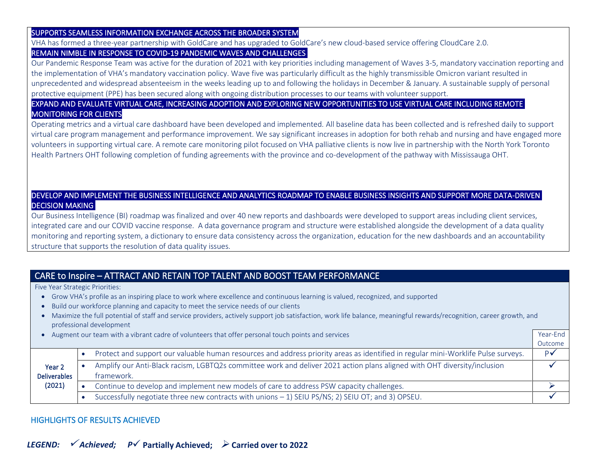#### SUPPORTS SEAMLESS INFORMATION EXCHANGE ACROSS THE BROADER SYSTEM

VHA has formed a three-year partnership with GoldCare and has upgraded to GoldCare's new cloud-based service offering CloudCare 2.0. REMAIN NIMBLE IN RESPONSE TO COVID-19 PANDEMIC WAVES AND CHALLENGES

Our Pandemic Response Team was active for the duration of 2021 with key priorities including management of Waves 3-5, mandatory vaccination reporting and the implementation of VHA's mandatory vaccination policy. Wave five was particularly difficult as the highly transmissible Omicron variant resulted in unprecedented and widespread absenteeism in the weeks leading up to and following the holidays in December & January. A sustainable supply of personal protective equipment (PPE) has been secured along with ongoing distribution processes to our teams with volunteer support.

#### EXPAND AND EVALUATE VIRTUAL CARE, INCREASING ADOPTION AND EXPLORING NEW OPPORTUNITIES TO USE VIRTUAL CARE INCLUDING REMOTE MONITORING FOR CLIENTS

Operating metrics and a virtual care dashboard have been developed and implemented. All baseline data has been collected and is refreshed daily to support virtual care program management and performance improvement. We say significant increases in adoption for both rehab and nursing and have engaged more volunteers in supporting virtual care. A remote care monitoring pilot focused on VHA palliative clients is now live in partnership with the North York Toronto Health Partners OHT following completion of funding agreements with the province and co-development of the pathway with Mississauga OHT.

### DEVELOP AND IMPLEMENT THE BUSINESS INTELLIGENCE AND ANALYTICS ROADMAP TO ENABLE BUSINESS INSIGHTS AND SUPPORT MORE DATA-DRIVEN DECISION MAKING

Our Business Intelligence (BI) roadmap was finalized and over 40 new reports and dashboards were developed to support areas including client services, integrated care and our COVID vaccine response. A data governance program and structure were established alongside the development of a data quality monitoring and reporting system, a dictionary to ensure data consistency across the organization, education for the new dashboards and an accountability structure that supports the resolution of data quality issues.

# CARE to Inspire – ATTRACT AND RETAIN TOP TALENT AND BOOST TEAM PERFORMANCE

Five Year Strategic Priorities:

- Grow VHA's profile as an inspiring place to work where excellence and continuous learning is valued, recognized, and supported
- Build our workforce planning and capacity to meet the service needs of our clients
- Maximize the full potential of staff and service providers, actively support job satisfaction, work life balance, meaningful rewards/recognition, career growth, and professional development
- Augment our team with a vibrant cadre of volunteers that offer personal touch points and services Year-End

|                               |                                                                                                                                        | Outcome       |
|-------------------------------|----------------------------------------------------------------------------------------------------------------------------------------|---------------|
| Year 2<br><b>Deliverables</b> | Protect and support our valuable human resources and address priority areas as identified in regular mini-Worklife Pulse surveys.      | $P\checkmark$ |
|                               | Amplify our Anti-Black racism, LGBTQ2s committee work and deliver 2021 action plans aligned with OHT diversity/inclusion<br>tramework. |               |
| (2021)                        | Continue to develop and implement new models of care to address PSW capacity challenges.                                               |               |
|                               | Successfully negotiate three new contracts with unions - 1) SEIU PS/NS; 2) SEIU OT; and 3) OPSEU.                                      |               |

### HIGHLIGHTS OF RESULTS ACHIEVED

*LEGEND:* ✓ *Achieved; P*✓ **Partially Achieved;** ➢ **Carried over to 2022**